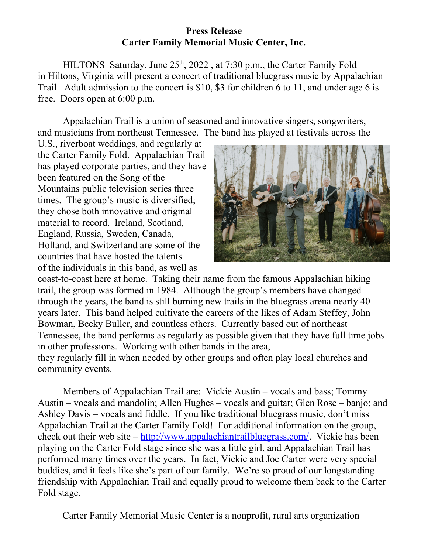## **Press Release Carter Family Memorial Music Center, Inc.**

HILTONS Saturday, June  $25<sup>th</sup>$ ,  $2022$ , at 7:30 p.m., the Carter Family Fold in Hiltons, Virginia will present a concert of traditional bluegrass music by Appalachian Trail. Adult admission to the concert is \$10, \$3 for children 6 to 11, and under age 6 is free. Doors open at 6:00 p.m.

Appalachian Trail is a union of seasoned and innovative singers, songwriters, and musicians from northeast Tennessee. The band has played at festivals across the

U.S., riverboat weddings, and regularly at the Carter Family Fold. Appalachian Trail has played corporate parties, and they have been featured on the Song of the Mountains public television series three times. The group's music is diversified; they chose both innovative and original material to record. Ireland, Scotland, England, Russia, Sweden, Canada, Holland, and Switzerland are some of the countries that have hosted the talents of the individuals in this band, as well as



coast-to-coast here at home. Taking their name from the famous Appalachian hiking trail, the group was formed in 1984. Although the group's members have changed through the years, the band is still burning new trails in the bluegrass arena nearly 40 years later. This band helped cultivate the careers of the likes of Adam Steffey, John Bowman, Becky Buller, and countless others. Currently based out of northeast Tennessee, the band performs as regularly as possible given that they have full time jobs in other professions. Working with other bands in the area,

they regularly fill in when needed by other groups and often play local churches and community events.

Members of Appalachian Trail are: Vickie Austin – vocals and bass; Tommy Austin – vocals and mandolin; Allen Hughes – vocals and guitar; Glen Rose – banjo; and Ashley Davis – vocals and fiddle. If you like traditional bluegrass music, don't miss Appalachian Trail at the Carter Family Fold! For additional information on the group, check out their web site  $-\frac{http://www.appalachiantrailbluegrass.com/}{http://www.appalachiantrailbluegrass.com/}$ . Vickie has been playing on the Carter Fold stage since she was a little girl, and Appalachian Trail has performed many times over the years. In fact, Vickie and Joe Carter were very special buddies, and it feels like she's part of our family. We're so proud of our longstanding friendship with Appalachian Trail and equally proud to welcome them back to the Carter Fold stage.

Carter Family Memorial Music Center is a nonprofit, rural arts organization